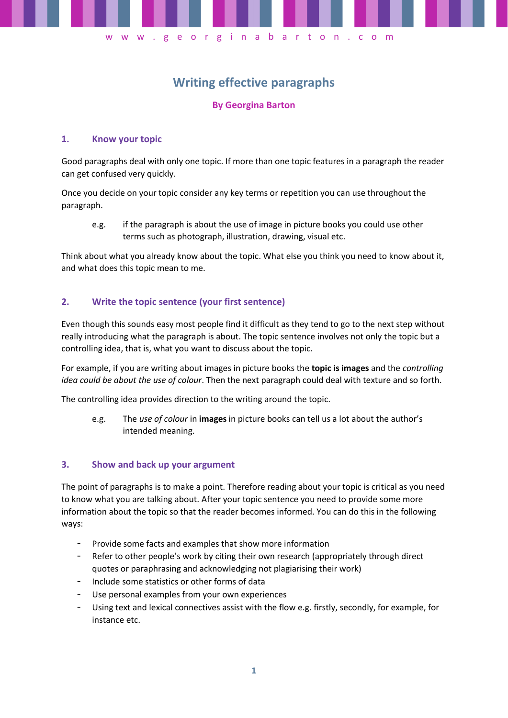

# **Writing effective paragraphs**

## **By Georgina Barton**

### **1. Know your topic**

Good paragraphs deal with only one topic. If more than one topic features in a paragraph the reader can get confused very quickly.

Once you decide on your topic consider any key terms or repetition you can use throughout the paragraph.

e.g. if the paragraph is about the use of image in picture books you could use other terms such as photograph, illustration, drawing, visual etc.

Think about what you already know about the topic. What else you think you need to know about it, and what does this topic mean to me.

## **2. Write the topic sentence (your first sentence)**

Even though this sounds easy most people find it difficult as they tend to go to the next step without really introducing what the paragraph is about. The topic sentence involves not only the topic but a controlling idea, that is, what you want to discuss about the topic.

For example, if you are writing about images in picture books the **topic is images** and the *controlling idea could be about the use of colour*. Then the next paragraph could deal with texture and so forth.

The controlling idea provides direction to the writing around the topic.

e.g. The *use of colour* in **images** in picture books can tell us a lot about the author's intended meaning.

#### **3. Show and back up your argument**

The point of paragraphs is to make a point. Therefore reading about your topic is critical as you need to know what you are talking about. After your topic sentence you need to provide some more information about the topic so that the reader becomes informed. You can do this in the following ways:

- Provide some facts and examples that show more information
- Refer to other people's work by citing their own research (appropriately through direct quotes or paraphrasing and acknowledging not plagiarising their work)
- Include some statistics or other forms of data
- Use personal examples from your own experiences
- Using text and lexical connectives assist with the flow e.g. firstly, secondly, for example, for instance etc.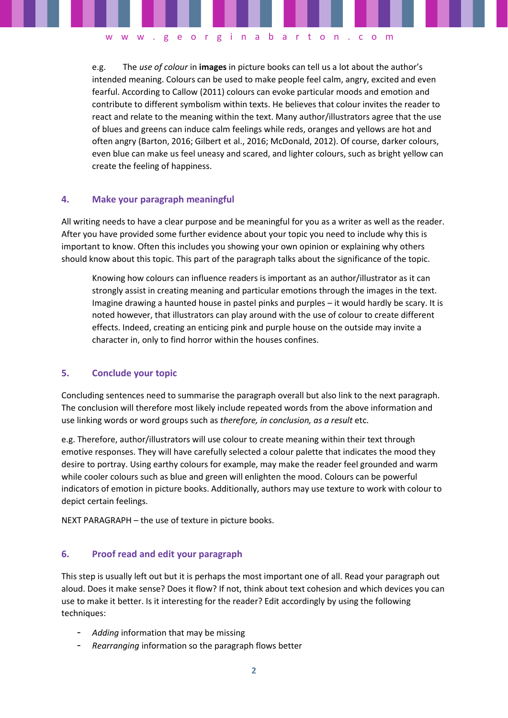e.g. The *use of colour* in **images** in picture books can tell us a lot about the author's intended meaning. Colours can be used to make people feel calm, angry, excited and even fearful. According to Callow (2011) colours can evoke particular moods and emotion and contribute to different symbolism within texts. He believes that colour invites the reader to react and relate to the meaning within the text. Many author/illustrators agree that the use of blues and greens can induce calm feelings while reds, oranges and yellows are hot and often angry (Barton, 2016; Gilbert et al., 2016; McDonald, 2012). Of course, darker colours, even blue can make us feel uneasy and scared, and lighter colours, such as bright yellow can create the feeling of happiness.

w w w . g e o r g i n a b a r t o n . c o m

## **4. Make your paragraph meaningful**

All writing needs to have a clear purpose and be meaningful for you as a writer as well as the reader. After you have provided some further evidence about your topic you need to include why this is important to know. Often this includes you showing your own opinion or explaining why others should know about this topic. This part of the paragraph talks about the significance of the topic.

Knowing how colours can influence readers is important as an author/illustrator as it can strongly assist in creating meaning and particular emotions through the images in the text. Imagine drawing a haunted house in pastel pinks and purples – it would hardly be scary. It is noted however, that illustrators can play around with the use of colour to create different effects. Indeed, creating an enticing pink and purple house on the outside may invite a character in, only to find horror within the houses confines.

#### **5. Conclude your topic**

Concluding sentences need to summarise the paragraph overall but also link to the next paragraph. The conclusion will therefore most likely include repeated words from the above information and use linking words or word groups such as *therefore, in conclusion, as a result* etc.

e.g. Therefore, author/illustrators will use colour to create meaning within their text through emotive responses. They will have carefully selected a colour palette that indicates the mood they desire to portray. Using earthy colours for example, may make the reader feel grounded and warm while cooler colours such as blue and green will enlighten the mood. Colours can be powerful indicators of emotion in picture books. Additionally, authors may use texture to work with colour to depict certain feelings.

NEXT PARAGRAPH – the use of texture in picture books.

#### **6. Proof read and edit your paragraph**

This step is usually left out but it is perhaps the most important one of all. Read your paragraph out aloud. Does it make sense? Does it flow? If not, think about text cohesion and which devices you can use to make it better. Is it interesting for the reader? Edit accordingly by using the following techniques:

- *Adding* information that may be missing
- *Rearranging* information so the paragraph flows better